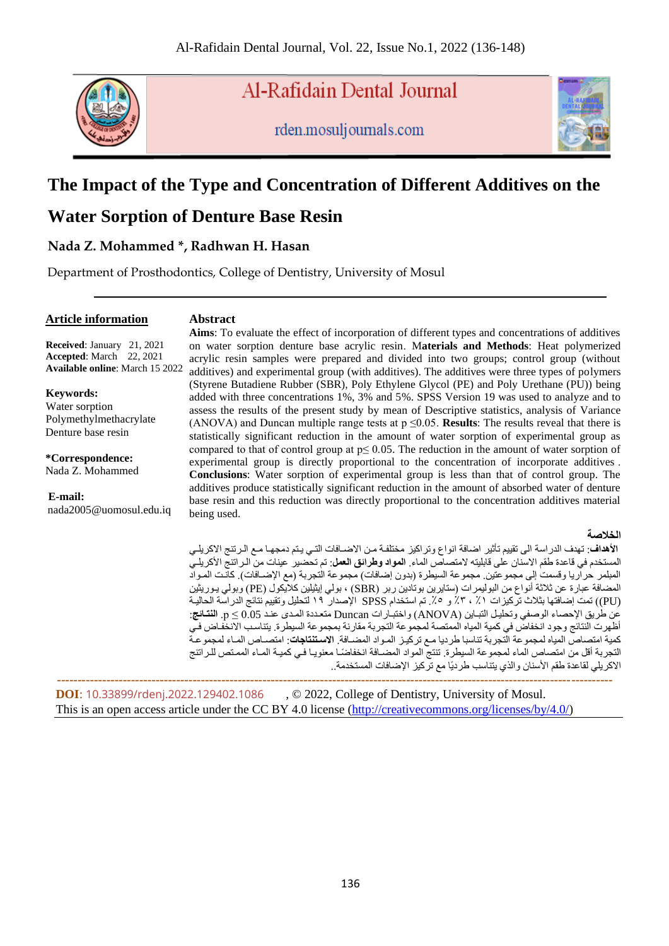

Al-Rafidain Dental Journal

rden.mosuljournals.com



# **The Impact of the Type and Concentration of Different Additives on the**

# **Water Sorption of Denture Base Resin**

## **Nada Z. Mohammed \*, Radhwan H. Hasan**

Department of Prosthodontics, College of Dentistry, University of Mosul

#### **Article information**

#### **Abstract**

**Received**: January 21, 2021 **Accepted**: March 22, 2021 **Available online**: March 15 2022

**Keywords:** Water sorption Polymethylmethacrylate Denture base resin

**\*Correspondence:** Nada Z. Mohammed

#### **E-mail:**

nada2005@uomosul.edu.iq

**Aims**: To evaluate the effect of incorporation of different types and concentrations of additives on water sorption denture base acrylic resin. M**aterials and Methods**: Heat polymerized acrylic resin samples were prepared and divided into two groups; control group (without additives) and experimental group (with additives). The additives were three types of polymers (Styrene Butadiene Rubber (SBR), Poly Ethylene Glycol (PE) and Poly Urethane (PU)) being added with three concentrations 1%, 3% and 5%. SPSS Version 19 was used to analyze and to assess the results of the present study by mean of Descriptive statistics, analysis of Variance (ANOVA) and Duncan multiple range tests at  $p \le 0.05$ . **Results**: The results reveal that there is statistically significant reduction in the amount of water sorption of experimental group as compared to that of control group at  $p \le 0.05$ . The reduction in the amount of water sorption of experimental group is directly proportional to the concentration of incorporate additives . **Conclusions**: Water sorption of experimental group is less than that of control group. The additives produce statistically significant reduction in the amount of absorbed water of denture base resin and this reduction was directly proportional to the concentration additives material being used.

#### **الخالصة**

ا**لأهداف**: تهدف الدراسة الى تقييم تأثير اضافة انواع وتراكيز مختلفة من الاضـافات التـي يـتم دمجهـا مـع الـرتنج الاكريلـي المستخدم في قاعدة طقم الاسنان على قابليته لامتصاص الماء. ا**لمواد وطرائق العمل**: تم تحضير عينات من الـر اتنج الأكريلـي المبلمر حراريا وقسمت إلى مجموعتين. مجموعة السيطرة (بدون إضافات) مجموعة التجربة (مع الإضـافات). كانت المـواد المضافة عبارة عن ثلاثة أنواع من البوليمرات (ستايرين بوتادين ربر (SBR) ، بولي إيثيلين كلايكول (PE) وبولي بـوريثين (PU )(تمت إضافتها بثالث تركيزال ٪1 ، ٪3 و .٪5 تم استخدام SPSS اإلصدار 19 لتحليل وتقييم نتائي الدراسة الحاليةة عا طردق اإلحصاء الوصفم وتحليةل التبةادا )ANOVA )واختبةارال Duncan متعةد ة المةدع علةد 0.05 ≥ p. **النتائئ** : أظهرت النتائج وجود انخفاض في كمية المياه الممتصة لمجموعة التجربة مقارنة بمجموعة السيطرة. يتناسب الانخفاض في كمية امتصاص المياه لمجموعة التجربة تناسبا طرديا مـع تركيـز المـواد المضـافة. ال**استنتاجات**: امتصـاص المـاء لمجموعـة التجربة أقل من امتصاص الماء لمجموعة السيطرة. تنتج المواد المضـافة انخفاضـًا معنويـا فـي كميـة المـاء الممـتص للـراتنج الاكريلي لقاعدة طقم الأسنان والذي يتناسب طرديًا مع تركيز الإضافات المستخدمة..

 **--------------------------------------------------------------------------------------------------------------------------------------- DOI**: [10.33899/rdenj.2022.129402.1086](http://dx.doi.org/10.33899/rdenj.2022.129402.1086) , © 2022, College of Dentistry, University of Mosul. This is an open access article under the CC BY 4.0 license [\(http://creativecommons.org/licenses/by/4.0/\)](http://creativecommons.org/licenses/by/4.0/)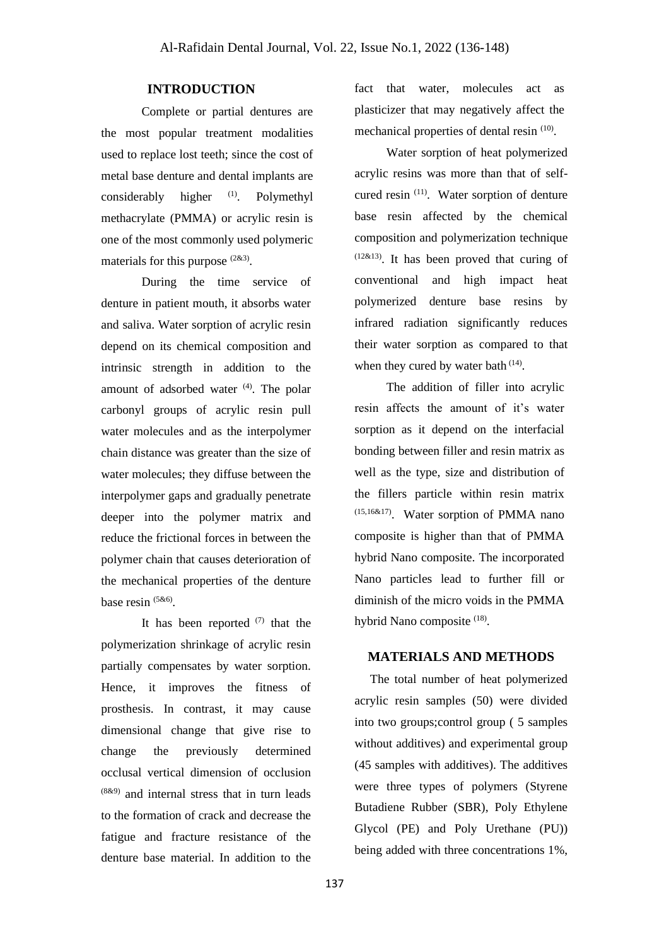#### **INTRODUCTION**

Complete or partial dentures are the most popular treatment modalities used to replace lost teeth; since the cost of metal base denture and dental implants are considerably higher  $(1)$ . . Polymethyl methacrylate (PMMA) or acrylic resin is one of the most commonly used polymeric materials for this purpose <sup>(2&3)</sup>.

During the time service of denture in patient mouth, it absorbs water and saliva. Water sorption of acrylic resin depend on its chemical composition and intrinsic strength in addition to the amount of adsorbed water  $(4)$ . The polar carbonyl groups of acrylic resin pull water molecules and as the interpolymer chain distance was greater than the size of water molecules; they diffuse between the interpolymer gaps and gradually penetrate deeper into the polymer matrix and reduce the frictional forces in between the polymer chain that causes deterioration of the mechanical properties of the denture base resin <sup>(5&6)</sup>.

It has been reported  $(7)$  that the polymerization shrinkage of acrylic resin partially compensates by water sorption. Hence, it improves the fitness of prosthesis. In contrast, it may cause dimensional change that give rise to change the previously determined occlusal vertical dimension of occlusion (8&9) and internal stress that in turn leads to the formation of crack and decrease the fatigue and fracture resistance of the denture base material. In addition to the

fact that water, molecules act as plasticizer that may negatively affect the mechanical properties of dental resin<sup>(10)</sup>.

Water sorption of heat polymerized acrylic resins was more than that of selfcured resin  $(11)$ . Water sorption of denture base resin affected by the chemical composition and polymerization technique  $(12\&13)$ . It has been proved that curing of conventional and high impact heat polymerized denture base resins by infrared radiation significantly reduces their water sorption as compared to that when they cured by water bath  $(14)$ .

The addition of filler into acrylic resin affects the amount of it's water sorption as it depend on the interfacial bonding between filler and resin matrix as well as the type, size and distribution of the fillers particle within resin matrix (15,16&17) . Water sorption of PMMA nano composite is higher than that of PMMA hybrid Nano composite. The incorporated Nano particles lead to further fill or diminish of the micro voids in the PMMA hybrid Nano composite <sup>(18)</sup>.

### **MATERIALS AND METHODS**

 The total number of heat polymerized acrylic resin samples (50) were divided into two groups;control group ( 5 samples without additives) and experimental group (45 samples with additives). The additives were three types of polymers (Styrene Butadiene Rubber (SBR), Poly Ethylene Glycol (PE) and Poly Urethane (PU)) being added with three concentrations 1%,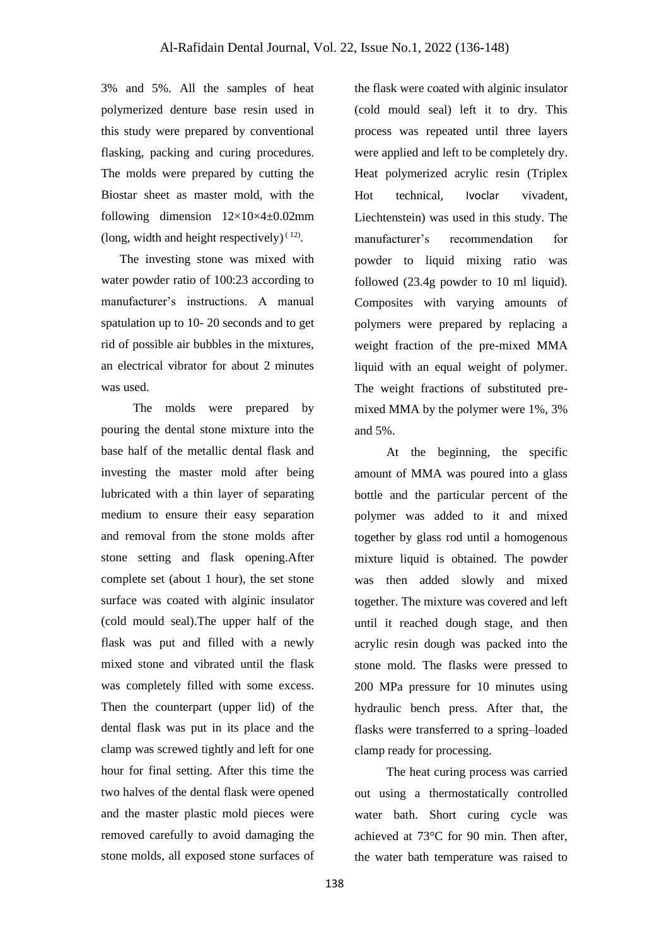3% and 5%. All the samples of heat polymerized denture base resin used in this study were prepared by conventional flasking, packing and curing procedures. The molds were prepared by cutting the Biostar sheet as master mold, with the following dimension  $12\times10\times4\t\pm0.02$ mm (long, width and height respectively) $(12)$ .

 The investing stone was mixed with water powder ratio of 100:23 according to manufacturer's instructions. A manual spatulation up to 10- 20 seconds and to get rid of possible air bubbles in the mixtures, an electrical vibrator for about 2 minutes was used.

The molds were prepared by pouring the dental stone mixture into the base half of the metallic dental flask and investing the master mold after being lubricated with a thin layer of separating medium to ensure their easy separation and removal from the stone molds after stone setting and flask opening.After complete set (about 1 hour), the set stone surface was coated with alginic insulator (cold mould seal).The upper half of the flask was put and filled with a newly mixed stone and vibrated until the flask was completely filled with some excess. Then the counterpart (upper lid) of the dental flask was put in its place and the clamp was screwed tightly and left for one hour for final setting. After this time the two halves of the dental flask were opened and the master plastic mold pieces were removed carefully to avoid damaging the stone molds, all exposed stone surfaces of

the flask were coated with alginic insulator (cold mould seal) left it to dry. This process was repeated until three layers were applied and left to be completely dry. Heat polymerized acrylic resin (Triplex Hot technical, Ivoclar vivadent, Liechtenstein) was used in this study. The manufacturer's recommendation for powder to liquid mixing ratio was followed (23.4g powder to 10 ml liquid). Composites with varying amounts of polymers were prepared by replacing a weight fraction of the pre-mixed MMA liquid with an equal weight of polymer. The weight fractions of substituted premixed MMA by the polymer were 1%, 3% and 5%.

At the beginning, the specific amount of MMA was poured into a glass bottle and the particular percent of the polymer was added to it and mixed together by glass rod until a homogenous mixture liquid is obtained. The powder was then added slowly and mixed together. The mixture was covered and left until it reached dough stage, and then acrylic resin dough was packed into the stone mold. The flasks were pressed to 200 MPa pressure for 10 minutes using hydraulic bench press. After that, the flasks were transferred to a spring–loaded clamp ready for processing.

The heat curing process was carried out using a thermostatically controlled water bath. Short curing cycle was achieved at 73°C for 90 min. Then after, the water bath temperature was raised to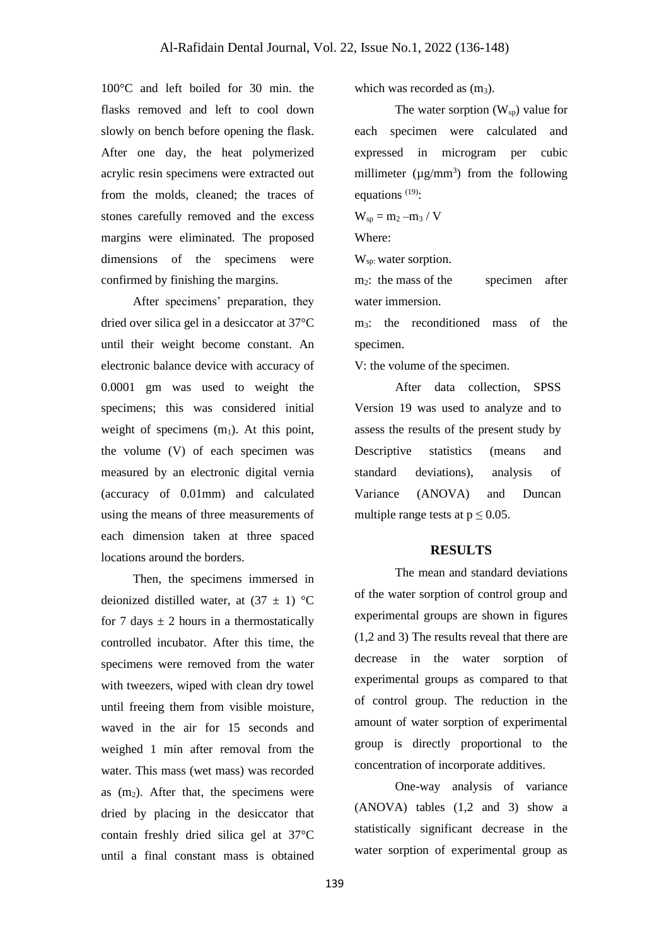100°C and left boiled for 30 min. the flasks removed and left to cool down slowly on bench before opening the flask. After one day, the heat polymerized acrylic resin specimens were extracted out from the molds, cleaned; the traces of stones carefully removed and the excess margins were eliminated. The proposed dimensions of the specimens were confirmed by finishing the margins.

After specimens' preparation, they dried over silica gel in a desiccator at 37°C until their weight become constant. An electronic balance device with accuracy of 0.0001 gm was used to weight the specimens; this was considered initial weight of specimens  $(m_1)$ . At this point, the volume (V) of each specimen was measured by an electronic digital vernia (accuracy of 0.01mm) and calculated using the means of three measurements of each dimension taken at three spaced locations around the borders.

Then, the specimens immersed in deionized distilled water, at  $(37 \pm 1)$  °C for 7 days  $\pm$  2 hours in a thermostatically controlled incubator. After this time, the specimens were removed from the water with tweezers, wiped with clean dry towel until freeing them from visible moisture, waved in the air for 15 seconds and weighed 1 min after removal from the water. This mass (wet mass) was recorded as  $(m_2)$ . After that, the specimens were dried by placing in the desiccator that contain freshly dried silica gel at 37°C until a final constant mass is obtained

which was recorded as  $(m_3)$ .

The water sorption  $(W_{\rm SD})$  value for each specimen were calculated and expressed in microgram per cubic millimeter ( $\mu$ g/mm<sup>3</sup>) from the following equations <sup>(19)</sup>:

 $W_{\rm sp} = m_2 - m_3 / V$ 

Where:

W<sub>sp:</sub> water sorption.

 $m<sub>2</sub>$ : the mass of the specimen after water immersion.

m3: the reconditioned mass of the specimen.

V: the volume of the specimen.

After data collection, SPSS Version 19 was used to analyze and to assess the results of the present study by Descriptive statistics (means and standard deviations), analysis of Variance (ANOVA) and Duncan multiple range tests at  $p \le 0.05$ .

#### **RESULTS**

The mean and standard deviations of the water sorption of control group and experimental groups are shown in figures (1,2 and 3) The results reveal that there are decrease in the water sorption of experimental groups as compared to that of control group. The reduction in the amount of water sorption of experimental group is directly proportional to the concentration of incorporate additives.

One-way analysis of variance (ANOVA) tables (1,2 and 3) show a statistically significant decrease in the water sorption of experimental group as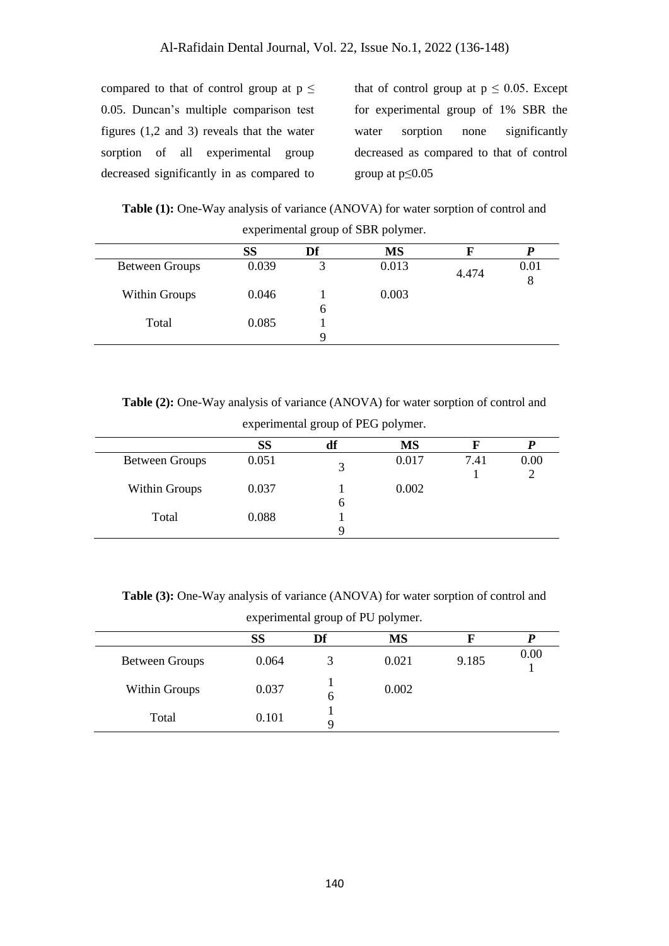compared to that of control group at  $p \leq$ 0.05. Duncan's multiple comparison test figures (1,2 and 3) reveals that the water sorption of all experimental group decreased significantly in as compared to that of control group at  $p \leq 0.05$ . Except for experimental group of 1% SBR the water sorption none significantly decreased as compared to that of control group at  $p \leq 0.05$ 

**Table (1):** One-Way analysis of variance (ANOVA) for water sorption of control and experimental group of SBR polymer.

|                       | <b>SS</b> | Df | <b>MS</b> |       |           |
|-----------------------|-----------|----|-----------|-------|-----------|
| <b>Between Groups</b> | 0.039     | 3  | 0.013     | 4.474 | 0.01<br>8 |
| Within Groups         | 0.046     | b  | 0.003     |       |           |
| Total                 | 0.085     | O  |           |       |           |

**Table (2):** One-Way analysis of variance (ANOVA) for water sorption of control and

|                       |       | ັ<br>$\blacksquare$ | $\overline{ }$ |      |      |
|-----------------------|-------|---------------------|----------------|------|------|
|                       | SS    | df                  | <b>MS</b>      |      |      |
| <b>Between Groups</b> | 0.051 |                     | 0.017          | 7.41 | 0.00 |
| Within Groups         | 0.037 | n                   | 0.002          |      |      |
| Total                 | 0.088 |                     |                |      |      |

experimental group of PEG polymer.

**Table (3):** One-Way analysis of variance (ANOVA) for water sorption of control and experimental group of PU polymer.

|                       | SS    | Df | <b>MS</b> |       |      |
|-----------------------|-------|----|-----------|-------|------|
| <b>Between Groups</b> | 0.064 |    | 0.021     | 9.185 | 0.00 |
| Within Groups         | 0.037 | 6  | 0.002     |       |      |
| Total                 | 0.101 |    |           |       |      |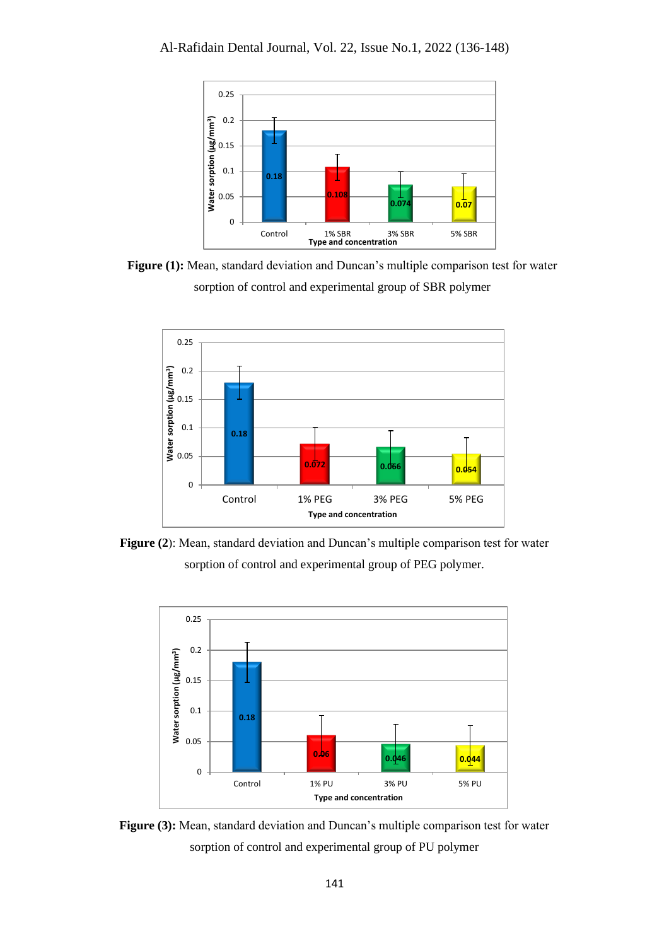

**Figure (1):** Mean, standard deviation and Duncan's multiple comparison test for water sorption of control and experimental group of SBR polymer



**Figure (2**): Mean, standard deviation and Duncan's multiple comparison test for water sorption of control and experimental group of PEG polymer.



Figure (3): Mean, standard deviation and Duncan's multiple comparison test for water sorption of control and experimental group of PU polymer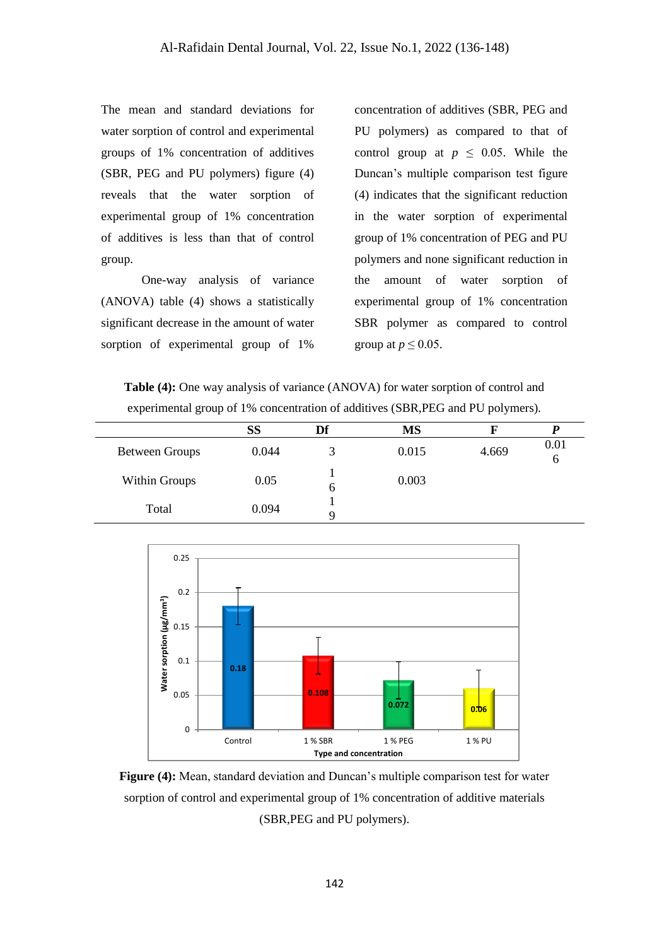The mean and standard deviations for water sorption of control and experimental groups of 1% concentration of additives (SBR, PEG and PU polymers) figure (4) reveals that the water sorption of experimental group of 1% concentration of additives is less than that of control group.

One-way analysis of variance (ANOVA) table (4) shows a statistically significant decrease in the amount of water sorption of experimental group of 1%

concentration of additives (SBR, PEG and PU polymers) as compared to that of control group at  $p \leq 0.05$ . While the Duncan's multiple comparison test figure (4) indicates that the significant reduction in the water sorption of experimental group of 1% concentration of PEG and PU polymers and none significant reduction in the amount of water sorption of experimental group of 1% concentration SBR polymer as compared to control group at  $p \leq 0.05$ .

**Table (4):** One way analysis of variance (ANOVA) for water sorption of control and experimental group of 1% concentration of additives (SBR,PEG and PU polymers).

|                       | SS    | Df | <b>MS</b> |       |           |
|-----------------------|-------|----|-----------|-------|-----------|
| <b>Between Groups</b> | 0.044 | 3  | 0.015     | 4.669 | 0.01<br>6 |
| Within Groups         | 0.05  | O  | 0.003     |       |           |
| Total                 | 0.094 |    |           |       |           |



**Figure (4):** Mean, standard deviation and Duncan's multiple comparison test for water sorption of control and experimental group of 1% concentration of additive materials (SBR,PEG and PU polymers).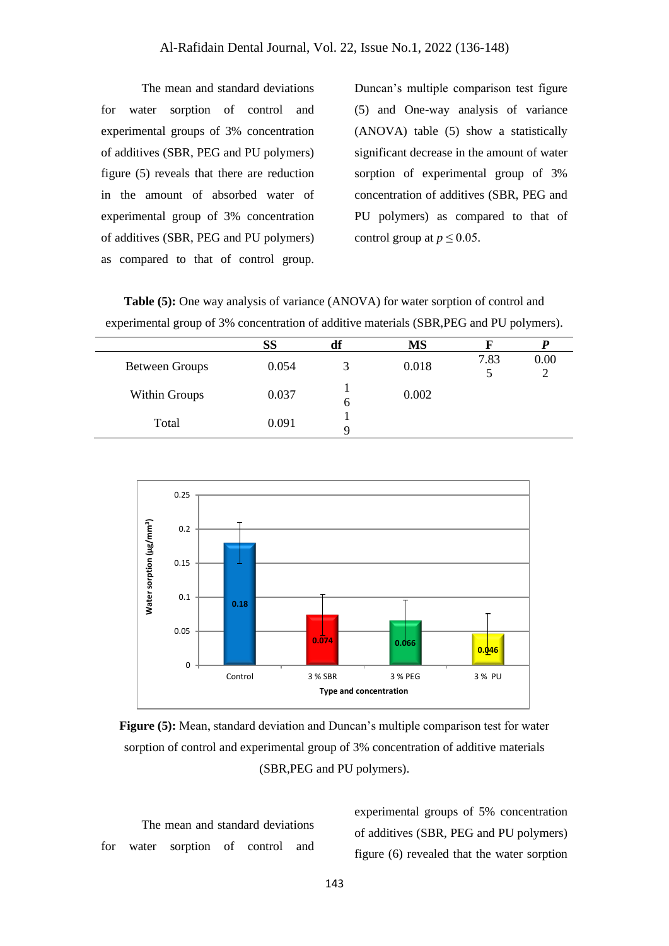The mean and standard deviations for water sorption of control and experimental groups of 3% concentration of additives (SBR, PEG and PU polymers) figure (5) reveals that there are reduction in the amount of absorbed water of experimental group of 3% concentration of additives (SBR, PEG and PU polymers) as compared to that of control group.

Duncan's multiple comparison test figure (5) and One-way analysis of variance (ANOVA) table (5) show a statistically significant decrease in the amount of water sorption of experimental group of 3% concentration of additives (SBR, PEG and PU polymers) as compared to that of control group at  $p \leq 0.05$ .

**Table (5):** One way analysis of variance (ANOVA) for water sorption of control and experimental group of 3% concentration of additive materials (SBR,PEG and PU polymers).

|                       | <b>SS</b> | df | MS    |      |      |
|-----------------------|-----------|----|-------|------|------|
| <b>Between Groups</b> | 0.054     |    | 0.018 | 7.83 | 0.00 |
| Within Groups         | 0.037     | O  | 0.002 |      |      |
| Total                 | 0.091     |    |       |      |      |



**Figure (5):** Mean, standard deviation and Duncan's multiple comparison test for water sorption of control and experimental group of 3% concentration of additive materials (SBR,PEG and PU polymers).

The mean and standard deviations for water sorption of control and experimental groups of 5% concentration of additives (SBR, PEG and PU polymers) figure (6) revealed that the water sorption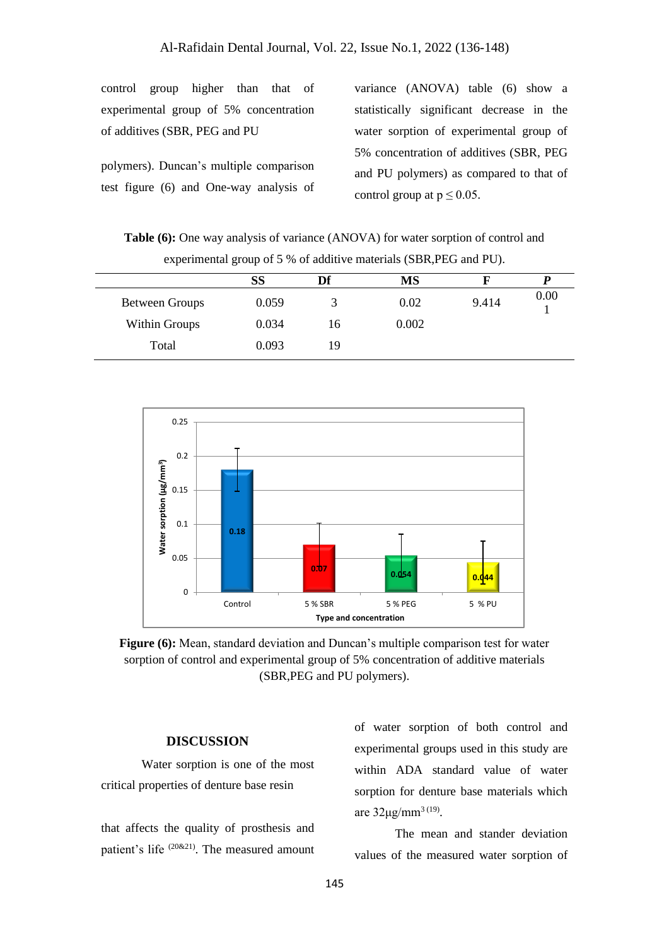control group higher than that of experimental group of 5% concentration of additives (SBR, PEG and PU

polymers). Duncan's multiple comparison test figure (6) and One-way analysis of

variance (ANOVA) table (6) show a statistically significant decrease in the water sorption of experimental group of 5% concentration of additives (SBR, PEG and PU polymers) as compared to that of control group at  $p \leq 0.05$ .

**Table (6):** One way analysis of variance (ANOVA) for water sorption of control and experimental group of 5 % of additive materials (SBR,PEG and PU).

|                | SS    | Df | <b>MS</b> |       |      |
|----------------|-------|----|-----------|-------|------|
| Between Groups | 0.059 |    | 0.02      | 9.414 | 0.00 |
| Within Groups  | 0.034 | 16 | 0.002     |       |      |
| Total          | 0.093 | 19 |           |       |      |



**Figure (6):** Mean, standard deviation and Duncan's multiple comparison test for water sorption of control and experimental group of 5% concentration of additive materials (SBR,PEG and PU polymers).

#### **DISCUSSION**

Water sorption is one of the most critical properties of denture base resin

that affects the quality of prosthesis and patient's life (20&21). The measured amount

of water sorption of both control and experimental groups used in this study are within ADA standard value of water sorption for denture base materials which are  $32\mu g/mm^{3}$ <sup>(19)</sup>.

The mean and stander deviation values of the measured water sorption of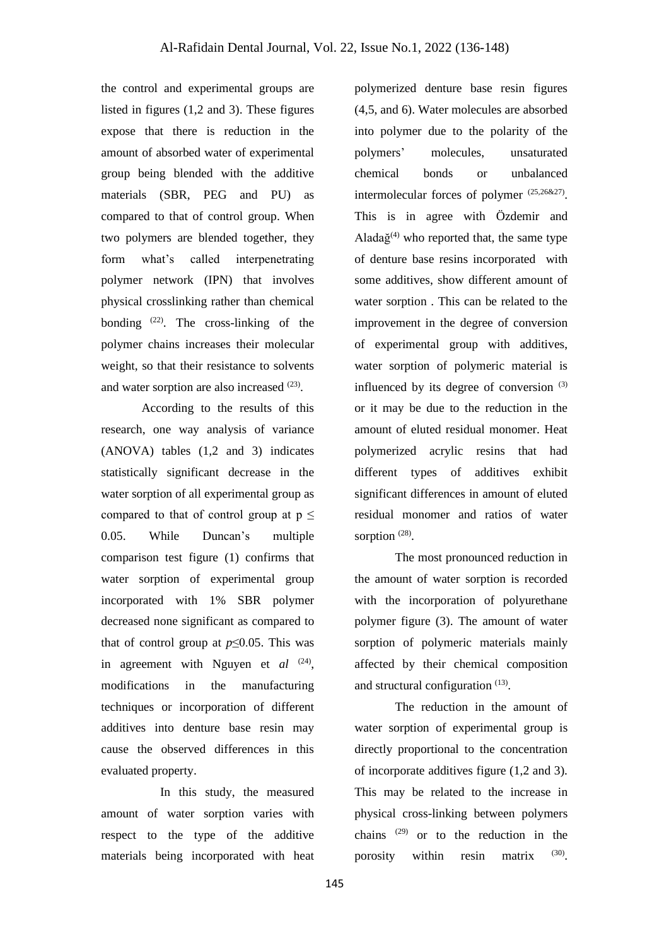the control and experimental groups are listed in figures (1,2 and 3). These figures expose that there is reduction in the amount of absorbed water of experimental group being blended with the additive materials (SBR, PEG and PU) as compared to that of control group. When two polymers are blended together, they form what's called interpenetrating polymer network (IPN) that involves physical crosslinking rather than chemical bonding (22) . The cross-linking of the polymer chains increases their molecular weight, so that their resistance to solvents and water sorption are also increased (23).

According to the results of this research, one way analysis of variance (ANOVA) tables (1,2 and 3) indicates statistically significant decrease in the water sorption of all experimental group as compared to that of control group at  $p \leq$ 0.05. While Duncan's multiple comparison test figure (1) confirms that water sorption of experimental group incorporated with 1% SBR polymer decreased none significant as compared to that of control group at  $p \leq 0.05$ . This was in agreement with Nguyen et *al* <sup>(24)</sup>, modifications in the manufacturing techniques or incorporation of different additives into denture base resin may cause the observed differences in this evaluated property.

 In this study, the measured amount of water sorption varies with respect to the type of the additive materials being incorporated with heat

polymerized denture base resin figures (4,5, and 6). Water molecules are absorbed into polymer due to the polarity of the polymers' molecules, unsaturated chemical bonds or unbalanced intermolecular forces of polymer (25,26&27). This is in agree with Özdemir and Alada $\check{g}^{(4)}$  who reported that, the same type of denture base resins incorporated with some additives, show different amount of water sorption . This can be related to the improvement in the degree of conversion of experimental group with additives, water sorption of polymeric material is influenced by its degree of conversion (3) or it may be due to the reduction in the amount of eluted residual monomer. Heat polymerized acrylic resins that had different types of additives exhibit significant differences in amount of eluted residual monomer and ratios of water sorption<sup>(28)</sup>.

The most pronounced reduction in the amount of water sorption is recorded with the incorporation of polyurethane polymer figure (3). The amount of water sorption of polymeric materials mainly affected by their chemical composition and structural configuration (13).

The reduction in the amount of water sorption of experimental group is directly proportional to the concentration of incorporate additives figure (1,2 and 3). This may be related to the increase in physical cross-linking between polymers chains (29) or to the reduction in the porosity within resin matrix  $(30)$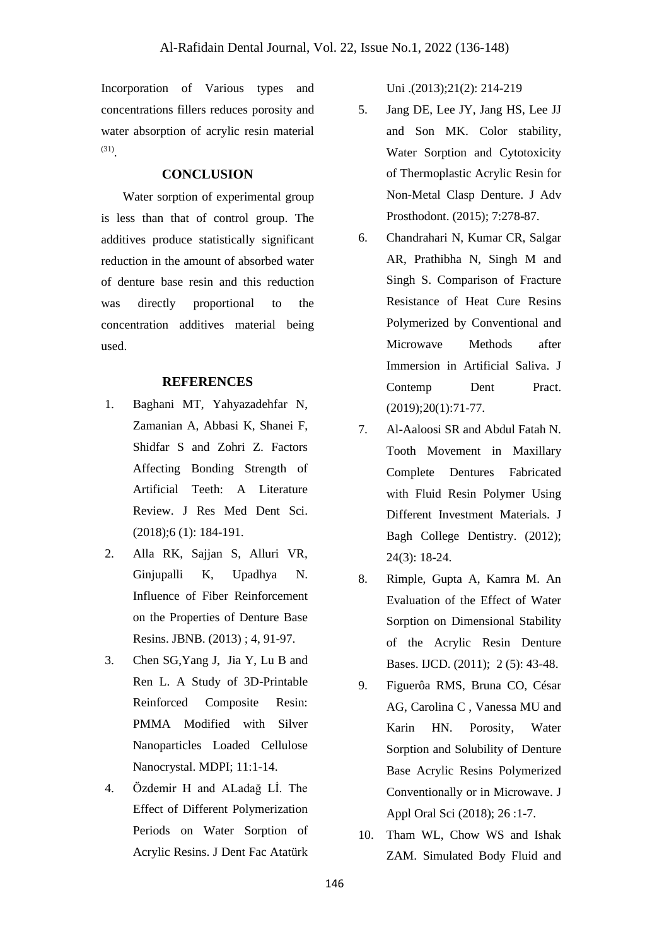Incorporation of Various types and concentrations fillers reduces porosity and water absorption of acrylic resin material (31) .

### **CONCLUSION**

 Water sorption of experimental group is less than that of control group. The additives produce statistically significant reduction in the amount of absorbed water of denture base resin and this reduction was directly proportional to the concentration additives material being used.

#### **REFERENCES**

- 1. Baghani MT, Yahyazadehfar N, Zamanian A, Abbasi K, Shanei F, Shidfar S and Zohri Z. Factors Affecting Bonding Strength of Artificial Teeth: A Literature Review. J Res Med Dent Sci. (2018);6 (1): 184-191.
- 2. Alla RK, Sajjan S, Alluri VR, Ginjupalli K, Upadhya N. Influence of Fiber Reinforcement on the Properties of Denture Base Resins. JBNB. (2013) ; 4, 91-97.
- 3. Chen SG,Yang J, Jia Y, Lu B and Ren L. A Study of 3D-Printable Reinforced Composite Resin: PMMA Modified with Silver Nanoparticles Loaded Cellulose Nanocrystal. MDPI; 11:1-14.
- 4. Özdemir H and ALadağ Lİ. The Effect of Different Polymerization Periods on Water Sorption of Acrylic Resins. J Dent Fac Atatürk

Uni .(2013);21(2): 214-219

- 5. Jang DE, Lee JY, Jang HS, Lee JJ and Son MK. Color stability, Water Sorption and Cytotoxicity of Thermoplastic Acrylic Resin for Non-Metal Clasp Denture. J Adv Prosthodont. (2015); 7:278-87.
- 6. Chandrahari N, Kumar CR, Salgar AR, Prathibha N, Singh M and Singh S. Comparison of Fracture Resistance of Heat Cure Resins Polymerized by Conventional and Microwave Methods after Immersion in Artificial Saliva. J Contemp Dent Pract. (2019);20(1):71-77.
- 7. Al-Aaloosi SR and Abdul Fatah N. Tooth Movement in Maxillary Complete Dentures Fabricated with Fluid Resin Polymer Using Different Investment Materials. J Bagh College Dentistry. (2012); 24(3): 18-24.
- 8. Rimple, Gupta A, Kamra M. An Evaluation of the Effect of Water Sorption on Dimensional Stability of the Acrylic Resin Denture Bases. IJCD. (2011); 2 (5): 43-48.
- 9. Figuerôa RMS, Bruna CO, César AG, Carolina C , Vanessa MU and Karin HN. Porosity, Water Sorption and Solubility of Denture Base Acrylic Resins Polymerized Conventionally or in Microwave. J Appl Oral Sci (2018); 26 :1-7.
- 10. Tham WL, Chow WS and Ishak ZAM. Simulated Body Fluid and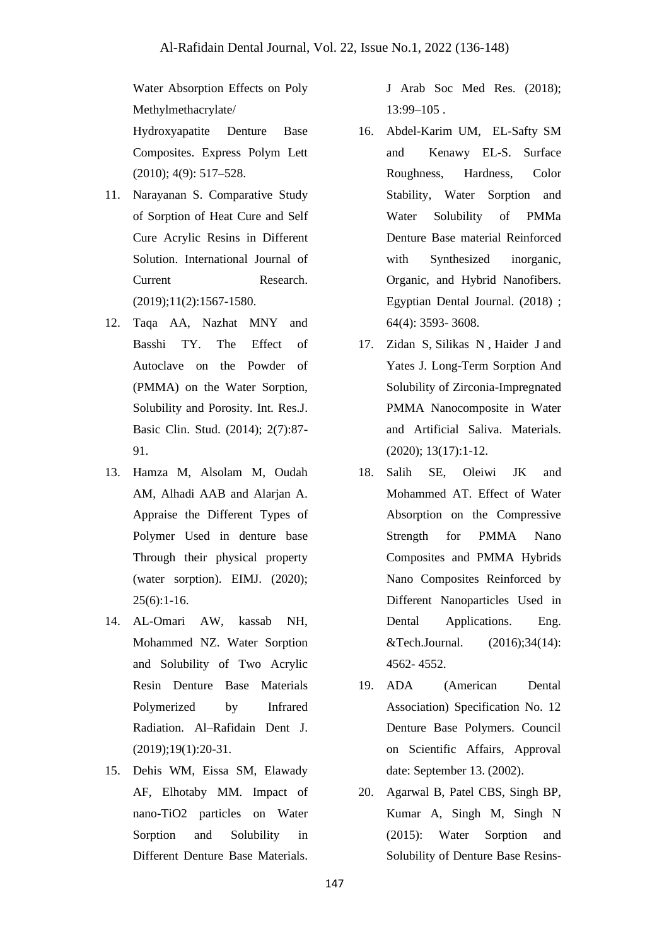Water Absorption Effects on Poly Methylmethacrylate/

Hydroxyapatite Denture Base Composites. Express Polym Lett (2010); 4(9): 517–528.

- 11. Narayanan S. Comparative Study of Sorption of Heat Cure and Self Cure Acrylic Resins in Different Solution. International Journal of Current Research. (2019);11(2):1567-1580.
- 12. Taqa AA, Nazhat MNY and Basshi TY. The Effect of Autoclave on the Powder of (PMMA) on the Water Sorption, Solubility and Porosity. Int. Res.J. Basic Clin. Stud. (2014); 2(7):87- 91.
- 13. Hamza M, Alsolam M, Oudah AM, Alhadi AAB and Alarjan A. Appraise the Different Types of Polymer Used in denture base Through their physical property (water sorption). EIMJ. (2020); 25(6):1-16.
- 14. AL-Omari AW, kassab NH, Mohammed NZ. Water Sorption and Solubility of Two Acrylic Resin Denture Base Materials Polymerized by Infrared Radiation. Al–Rafidain Dent J. (2019);19(1):20-31.
- 15. Dehis WM, Eissa SM, Elawady AF, Elhotaby MM. Impact of nano-TiO2 particles on Water Sorption and Solubility in Different Denture Base Materials.

J Arab Soc Med Res. (2018);  $13:99-105$ .

- 16. Abdel-Karim UM, EL-Safty SM and Kenawy EL-S. Surface Roughness, Hardness, Color Stability, Water Sorption and Water Solubility of PMMa Denture Base material Reinforced with Synthesized inorganic, Organic, and Hybrid Nanofibers. Egyptian Dental Journal. (2018) ; 64(4): 3593- 3608.
- 17. Zidan S, Silikas N , Haider J and Yates J. Long-Term Sorption And Solubility of Zirconia-Impregnated PMMA Nanocomposite in Water and Artificial Saliva. Materials. (2020); 13(17):1-12.
- 18. Salih SE, Oleiwi JK and Mohammed AT. Effect of Water Absorption on the Compressive Strength for PMMA Nano Composites and PMMA Hybrids Nano Composites Reinforced by Different Nanoparticles Used in Dental Applications. Eng. &Tech.Journal. (2016);34(14): 4562- 4552.
- 19. ADA (American Dental Association) Specification No. 12 Denture Base Polymers. Council on Scientific Affairs, Approval date: September 13. (2002).
- 20. Agarwal B, Patel CBS, Singh BP, Kumar A, Singh M, Singh N (2015): Water Sorption and Solubility of Denture Base Resins-